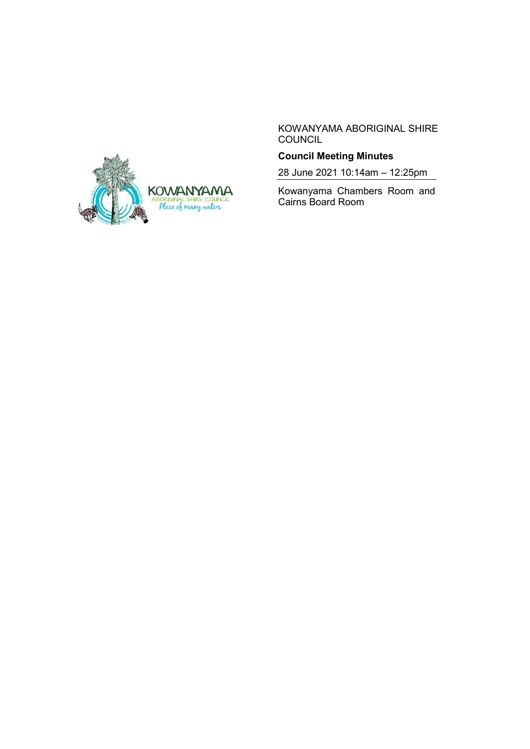

KOWANYAMA ABORIGINAL SHIRE **COUNCIL** 

## **Council Meeting Minutes**

28 June 2021 10:14am – 12:25pm

Kowanyama Chambers Room and Cairns Board Room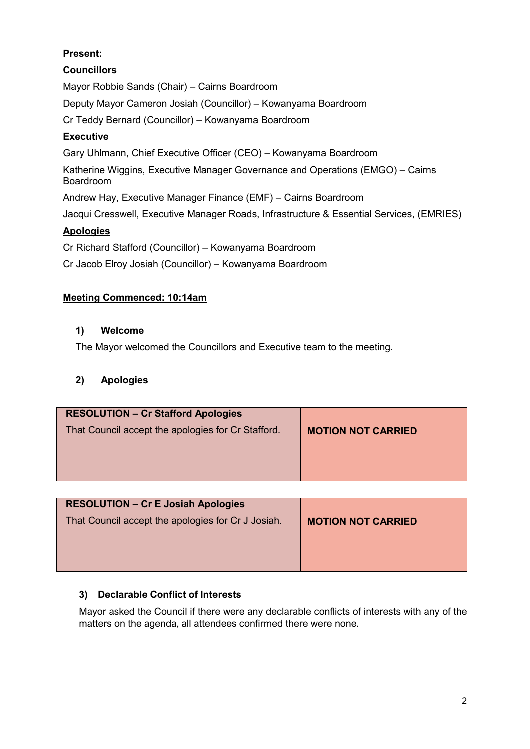# **Present:**

## **Councillors**

Mayor Robbie Sands (Chair) – Cairns Boardroom

Deputy Mayor Cameron Josiah (Councillor) – Kowanyama Boardroom

Cr Teddy Bernard (Councillor) – Kowanyama Boardroom

# **Executive**

Gary Uhlmann, Chief Executive Officer (CEO) – Kowanyama Boardroom

Katherine Wiggins, Executive Manager Governance and Operations (EMGO) – Cairns Boardroom

Andrew Hay, Executive Manager Finance (EMF) – Cairns Boardroom

Jacqui Cresswell, Executive Manager Roads, Infrastructure & Essential Services, (EMRIES)

# **Apologies**

Cr Richard Stafford (Councillor) – Kowanyama Boardroom

Cr Jacob Elroy Josiah (Councillor) – Kowanyama Boardroom

# **Meeting Commenced: 10:14am**

### **1) Welcome**

The Mayor welcomed the Councillors and Executive team to the meeting.

# **2) Apologies**

| <b>RESOLUTION - Cr Stafford Apologies</b>          |                           |
|----------------------------------------------------|---------------------------|
| That Council accept the apologies for Cr Stafford. | <b>MOTION NOT CARRIED</b> |
|                                                    |                           |

| <b>RESOLUTION - Cr E Josiah Apologies</b><br>That Council accept the apologies for Cr J Josiah. | <b>MOTION NOT CARRIED</b> |
|-------------------------------------------------------------------------------------------------|---------------------------|
|                                                                                                 |                           |

# **3) Declarable Conflict of Interests**

Mayor asked the Council if there were any declarable conflicts of interests with any of the matters on the agenda, all attendees confirmed there were none.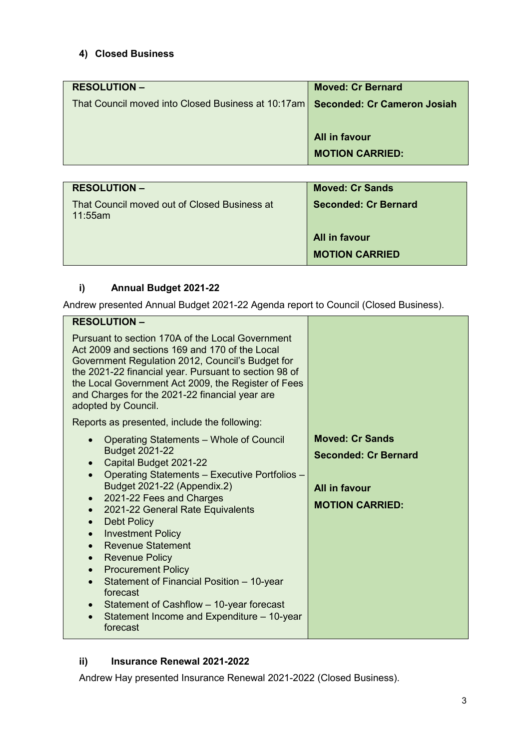# **4) Closed Business**

| <b>RESOLUTION -</b>                                                              | <b>Moved: Cr Bernard</b> |
|----------------------------------------------------------------------------------|--------------------------|
| That Council moved into Closed Business at 10:17am   Seconded: Cr Cameron Josiah |                          |
|                                                                                  |                          |
|                                                                                  | All in favour            |
|                                                                                  |                          |
|                                                                                  | <b>MOTION CARRIED:</b>   |
|                                                                                  |                          |

| <b>RESOLUTION –</b>                                        | <b>Moved: Cr Sands</b> |
|------------------------------------------------------------|------------------------|
| That Council moved out of Closed Business at<br>$11:55$ am | Seconded: Cr Bernard   |
|                                                            | All in favour          |
|                                                            | <b>MOTION CARRIED</b>  |

# **i) Annual Budget 2021-22**

Andrew presented Annual Budget 2021-22 Agenda report to Council (Closed Business).

| <b>RESOLUTION -</b>                                                                                                                                                                                                                                                                                                                                                                                                                                                                                                                                                                                                                                                                          |                                                                                                  |
|----------------------------------------------------------------------------------------------------------------------------------------------------------------------------------------------------------------------------------------------------------------------------------------------------------------------------------------------------------------------------------------------------------------------------------------------------------------------------------------------------------------------------------------------------------------------------------------------------------------------------------------------------------------------------------------------|--------------------------------------------------------------------------------------------------|
| Pursuant to section 170A of the Local Government<br>Act 2009 and sections 169 and 170 of the Local<br>Government Regulation 2012, Council's Budget for<br>the 2021-22 financial year. Pursuant to section 98 of<br>the Local Government Act 2009, the Register of Fees<br>and Charges for the 2021-22 financial year are<br>adopted by Council.                                                                                                                                                                                                                                                                                                                                              |                                                                                                  |
| Reports as presented, include the following:                                                                                                                                                                                                                                                                                                                                                                                                                                                                                                                                                                                                                                                 |                                                                                                  |
| Operating Statements - Whole of Council<br>$\bullet$<br><b>Budget 2021-22</b><br>Capital Budget 2021-22<br>$\bullet$<br>Operating Statements - Executive Portfolios -<br>$\bullet$<br>Budget 2021-22 (Appendix.2)<br>2021-22 Fees and Charges<br>$\bullet$<br>2021-22 General Rate Equivalents<br>$\bullet$<br><b>Debt Policy</b><br>$\bullet$<br><b>Investment Policy</b><br>$\bullet$<br><b>Revenue Statement</b><br>$\bullet$<br><b>Revenue Policy</b><br>$\bullet$<br><b>Procurement Policy</b><br>$\bullet$<br>Statement of Financial Position - 10-year<br>$\bullet$<br>forecast<br>Statement of Cashflow - 10-year forecast<br>Statement Income and Expenditure - 10-year<br>forecast | <b>Moved: Cr Sands</b><br><b>Seconded: Cr Bernard</b><br>All in favour<br><b>MOTION CARRIED:</b> |

### **ii) Insurance Renewal 2021-2022**

Andrew Hay presented Insurance Renewal 2021-2022 (Closed Business).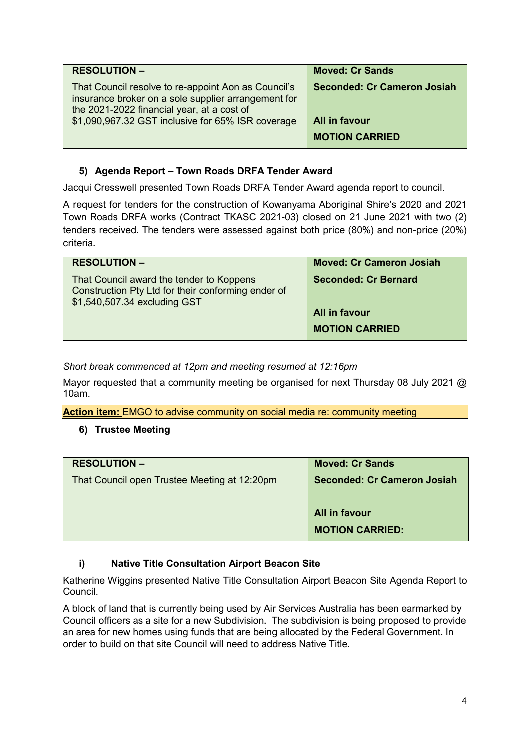| <b>RESOLUTION -</b>                                                                                                                                                                                           | <b>Moved: Cr Sands</b>                                                       |
|---------------------------------------------------------------------------------------------------------------------------------------------------------------------------------------------------------------|------------------------------------------------------------------------------|
| That Council resolve to re-appoint Aon as Council's<br>insurance broker on a sole supplier arrangement for<br>the 2021-2022 financial year, at a cost of<br>\$1,090,967.32 GST inclusive for 65% ISR coverage | <b>Seconded: Cr Cameron Josiah</b><br>All in favour<br><b>MOTION CARRIED</b> |
|                                                                                                                                                                                                               |                                                                              |

### **5) Agenda Report – Town Roads DRFA Tender Award**

Jacqui Cresswell presented Town Roads DRFA Tender Award agenda report to council.

A request for tenders for the construction of Kowanyama Aboriginal Shire's 2020 and 2021 Town Roads DRFA works (Contract TKASC 2021-03) closed on 21 June 2021 with two (2) tenders received. The tenders were assessed against both price (80%) and non-price (20%) criteria.

| <b>RESOLUTION -</b>                                                                                                            | <b>Moved: Cr Cameron Josiah</b>                                       |
|--------------------------------------------------------------------------------------------------------------------------------|-----------------------------------------------------------------------|
| That Council award the tender to Koppens<br>Construction Pty Ltd for their conforming ender of<br>\$1,540,507.34 excluding GST | <b>Seconded: Cr Bernard</b><br>All in favour<br><b>MOTION CARRIED</b> |
|                                                                                                                                |                                                                       |

*Short break commenced at 12pm and meeting resumed at 12:16pm*

Mayor requested that a community meeting be organised for next Thursday 08 July 2021 @ 10am.

**Action item:** EMGO to advise community on social media re: community meeting

#### **6) Trustee Meeting**

| <b>RESOLUTION -</b>                          | <b>Moved: Cr Sands</b>      |
|----------------------------------------------|-----------------------------|
| That Council open Trustee Meeting at 12:20pm | Seconded: Cr Cameron Josiah |
|                                              | All in favour               |
|                                              | <b>MOTION CARRIED:</b>      |

#### **i) Native Title Consultation Airport Beacon Site**

Katherine Wiggins presented Native Title Consultation Airport Beacon Site Agenda Report to Council.

A block of land that is currently being used by Air Services Australia has been earmarked by Council officers as a site for a new Subdivision. The subdivision is being proposed to provide an area for new homes using funds that are being allocated by the Federal Government. In order to build on that site Council will need to address Native Title.